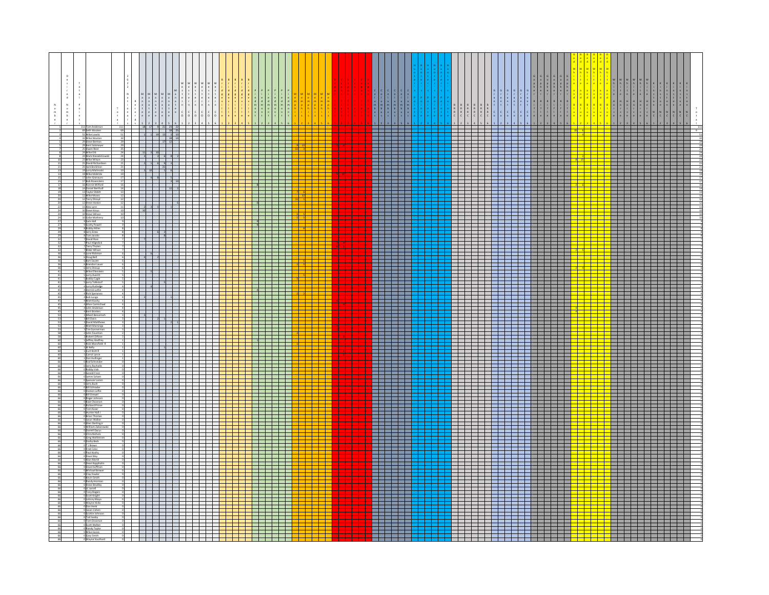| $\mathbf{N}$  |                                                                                               |  |                                                                                                                    |  |  |                                  |                               |                                                                                                               |  |  |                                                                                                                 |                                                                                                                                                                                                                                               |  |  |                                                                                                                                                                                                                                                              |                                                                                                | $\begin{array}{cccccccccccccc} 5 & & G & & G & & G & & G \\ \cdot & & r & & r & & r & & r \\ 1 & & 3 & & 3 & & 3 & & 3 \\ 1 & & & 0 & & 0 & & 0 & & 0 \\ 1 & & & & r & & & r & & r \\ \vdots & & & & & & & & & 1 \end{array}$ | $\begin{array}{c c c c c c c c} \hline \bullet & \bullet & \bullet & \bullet & \bullet \\ \hline \bullet & \bullet & \bullet & \bullet & \bullet \\ \bullet & \bullet & \bullet & \bullet & \bullet \\ \bullet & \bullet & \bullet & \bullet & \bullet \end{array}$ |                                    |   |                |      |                                   |                                                                                         |  |     |
|---------------|-----------------------------------------------------------------------------------------------|--|--------------------------------------------------------------------------------------------------------------------|--|--|----------------------------------|-------------------------------|---------------------------------------------------------------------------------------------------------------|--|--|-----------------------------------------------------------------------------------------------------------------|-----------------------------------------------------------------------------------------------------------------------------------------------------------------------------------------------------------------------------------------------|--|--|--------------------------------------------------------------------------------------------------------------------------------------------------------------------------------------------------------------------------------------------------------------|------------------------------------------------------------------------------------------------|-------------------------------------------------------------------------------------------------------------------------------------------------------------------------------------------------------------------------------|---------------------------------------------------------------------------------------------------------------------------------------------------------------------------------------------------------------------------------------------------------------------|------------------------------------|---|----------------|------|-----------------------------------|-----------------------------------------------------------------------------------------|--|-----|
| $\frac{1}{b}$ |                                                                                               |  |                                                                                                                    |  |  |                                  |                               |                                                                                                               |  |  |                                                                                                                 |                                                                                                                                                                                                                                               |  |  | $\begin{array}{cccccccccccccc} \mathbf{B} & \mathbf{B} & \mathbf{B} & \mathbf{B} \\ \mathbf{R} & \mathbf{R} & \mathbf{R} & \mathbf{R} \\ \mathbf{R} & \mathbf{R} & \mathbf{R} & \mathbf{R} \\ \mathbf{C} & \mathbf{C} & \mathbf{C} & \mathbf{C} \end{array}$ | $\begin{array}{c c c c c c c c} \n\hline\n\hline\n\hline\n\hline\n\hline\n\hline\n\end{array}$ |                                                                                                                                                                                                                               |                                                                                                                                                                                                                                                                     |                                    |   |                |      |                                   |                                                                                         |  |     |
|               | 111 Tom Anderso                                                                               |  | 18 17 9 21 24 2                                                                                                    |  |  | T T                              |                               | ╶╂╌╫╌╊                                                                                                        |  |  |                                                                                                                 | .<br>استماست استحقاق                                                                                                                                                                                                                          |  |  |                                                                                                                                                                                                                                                              |                                                                                                | an bertama bertama dan bertama dan bertama dan bertama dalam bertama dalam bertama dalam bertama dalam bertama                                                                                                                |                                                                                                                                                                                                                                                                     | <u> 1951 - Jean Barbara (b. 19</u> |   |                | ┽┽   |                                   | <u> La Barat de la Barat de la Barat de la Barat de la Barat de la Barat de la Bara</u> |  | - 9 |
|               | 69 Seth Wooten<br>51 Mike Lowitz<br>32 Mike Wooter<br>29 Steve Bertran                        |  | $\begin{array}{ccc} 1 & 1 & 19 & 13 \end{array}$<br>$17$ $12$                                                      |  |  | .                                |                               | a da ba<br>a katika I                                                                                         |  |  |                                                                                                                 |                                                                                                                                                                                                                                               |  |  |                                                                                                                                                                                                                                                              |                                                                                                |                                                                                                                                                                                                                               |                                                                                                                                                                                                                                                                     |                                    |   |                |      |                                   |                                                                                         |  |     |
|               | 29 Kerk Sickmeyer<br>25 Owen Reid<br>24 Mike Erb<br>24 Mark Niezabiti                         |  | --------------------<br>$\begin{array}{ c c c c }\hline 11 & 3 & 10 & \\ \hline 3 & & 3 & 6 \\ \hline \end{array}$ |  |  |                                  | <u> e de la</u>               |                                                                                                               |  |  |                                                                                                                 | <u> El El El El El E</u><br>_______<br><b>ENERGEN</b>                                                                                                                                                                                         |  |  |                                                                                                                                                                                                                                                              |                                                                                                |                                                                                                                                                                                                                               |                                                                                                                                                                                                                                                                     | _________________________________  |   |                |      |                                   | --------------                                                                          |  |     |
|               | 23 Mike Wilson<br>21 David Richardson                                                         |  | <b>The Common</b><br>$2 \quad 1 \quad 6 \quad 9$<br>$\overline{\phantom{1}}$ 21                                    |  |  | <u> Timbur</u>                   | .                             | - 1 1 1<br>a je je p                                                                                          |  |  | a kacamatan ing Kabupatèn Kabupatèn                                                                             | .<br><u> El El El El El E</u>                                                                                                                                                                                                                 |  |  |                                                                                                                                                                                                                                                              |                                                                                                |                                                                                                                                                                                                                               |                                                                                                                                                                                                                                                                     |                                    |   |                |      |                                   |                                                                                         |  |     |
|               | .<br>21 Jack Bockman<br>19 Larry Malinosi<br>19 Mike McBride<br>17 John Granaun               |  | 48                                                                                                                 |  |  |                                  |                               | 70 H H                                                                                                        |  |  |                                                                                                                 | an bahasa di sebagai sebagai sebagai sebagai sebagai sebagai sebagai sebagai sebagai sebagai sebagai sebagai s                                                                                                                                |  |  |                                                                                                                                                                                                                                                              |                                                                                                |                                                                                                                                                                                                                               |                                                                                                                                                                                                                                                                     |                                    |   |                |      |                                   |                                                                                         |  |     |
|               | 17 Bob Rosenstei<br>16 Ronnie Milfor<br>14 Daniel Bertholf<br>13 Taylor Ebbitt                |  |                                                                                                                    |  |  |                                  |                               | a kacamatan ing Kabupatén Ing Kabupatén Ing Kabupatén Ing Kabupatén Ing Kabupatén Ing Kabupatén Ing Kabupatén |  |  |                                                                                                                 | ______<br>.                                                                                                                                                                                                                                   |  |  |                                                                                                                                                                                                                                                              |                                                                                                |                                                                                                                                                                                                                               |                                                                                                                                                                                                                                                                     |                                    |   |                |      | --                                |                                                                                         |  |     |
|               | 12 Mike Moses<br>12 Terry Olroyd                                                              |  | an an am an t-                                                                                                     |  |  |                                  | <u>si wa wakazi wa wa</u>     | a di Ba                                                                                                       |  |  |                                                                                                                 | a kacamatan ing Kabupatèn Kabupatén Ing Kabupatèn Ing Kabupatèn Kabupatèn Ing Kabupatèn Kabupatèn Kabupatèn Ka<br>_______                                                                                                                     |  |  |                                                                                                                                                                                                                                                              |                                                                                                |                                                                                                                                                                                                                               |                                                                                                                                                                                                                                                                     |                                    |   |                |      | and the state of the state of the |                                                                                         |  |     |
|               | 12 Steve Hoski<br>11 Alex Lynn<br><b>10 Steve Kraus</b><br>10 Steve Wilson                    |  | 2 3 5 1                                                                                                            |  |  |                                  | .<br>_________                | a da k                                                                                                        |  |  |                                                                                                                 | an bandar bir bir bir bir bir bir bir bir<br>maa maana                                                                                                                                                                                        |  |  |                                                                                                                                                                                                                                                              |                                                                                                |                                                                                                                                                                                                                               |                                                                                                                                                                                                                                                                     | a kata sa sa sa nsa n              |   |                |      | an an Taona                       |                                                                                         |  |     |
|               | 10 Gabe Mather<br>9 Scotty Powe                                                               |  | <u> Frans</u>                                                                                                      |  |  | 9                                |                               | T<br>70 O O                                                                                                   |  |  |                                                                                                                 | 333332<br>.                                                                                                                                                                                                                                   |  |  |                                                                                                                                                                                                                                                              |                                                                                                |                                                                                                                                                                                                                               |                                                                                                                                                                                                                                                                     |                                    |   |                |      |                                   |                                                                                         |  |     |
|               | 8 Robby Miles<br>8 Jerry Estes<br>8 Tom Jacobs<br>David Ross                                  |  | 62                                                                                                                 |  |  |                                  |                               | a kacamatan Ing<br>- 1 1 1<br>a da ba                                                                         |  |  | EH E                                                                                                            | an bandar bir bir bir bir bir bir bir bir<br>a kacamatan ing Kabupatèn Kabupatén Ing Kabupatèn Ing Kabupatèn Kabupatèn Ing Kabupatèn Kabupatèn Kabupatèn Ka                                                                                   |  |  |                                                                                                                                                                                                                                                              |                                                                                                |                                                                                                                                                                                                                               |                                                                                                                                                                                                                                                                     |                                    |   |                |      |                                   |                                                                                         |  |     |
|               | Paul Hilgedici<br><b>Terry Tholen</b>                                                         |  |                                                                                                                    |  |  |                                  | <u> Telefonia i </u>          | SE E<br>a kacamatan Ing                                                                                       |  |  |                                                                                                                 | .<br><u> El Estado de la f</u>                                                                                                                                                                                                                |  |  |                                                                                                                                                                                                                                                              |                                                                                                |                                                                                                                                                                                                                               |                                                                                                                                                                                                                                                                     |                                    |   |                |      | --                                |                                                                                         |  |     |
|               | 7<br>Blake Wilson<br>5 Lane Rickma<br>6 Doug Bell<br><b>Bart Sauter</b>                       |  | $4$ 2                                                                                                              |  |  |                                  | .                             | a katika I<br>i<br>List                                                                                       |  |  |                                                                                                                 | 232222<br>an bahasa di sebagai sebagai sebagai sebagai sebagai sebagai sebagai sebagai sebagai sebagai sebagai sebagai s<br>a kacamatan ing Kabupatèn Kabupatén Ing Kabupatèn Ing Kabupatèn Kabupatèn Ing Kabupatèn Kabupatèn Kabupatèn Ka    |  |  |                                                                                                                                                                                                                                                              |                                                                                                |                                                                                                                                                                                                                               |                                                                                                                                                                                                                                                                     |                                    |   |                |      |                                   |                                                                                         |  |     |
|               | 6 Brandon Lauer<br>Jerry Stroup<br>Mike Ellenste<br>5 Larry Averitt                           |  |                                                                                                                    |  |  |                                  | <u> 1 - 1 - 1 - 1 - 1 - 1</u> |                                                                                                               |  |  |                                                                                                                 | maa maana                                                                                                                                                                                                                                     |  |  |                                                                                                                                                                                                                                                              |                                                                                                |                                                                                                                                                                                                                               |                                                                                                                                                                                                                                                                     | ___________________                |   |                | - 11 | and the state of the state of the |                                                                                         |  |     |
|               | S Bobby Cagle<br>S Larry Tolkstorf<br>4 Larry Rutledge<br>4 Derrick Loffin<br>1 Rich Spectors |  |                                                                                                                    |  |  |                                  | <mark>┽┽┽┽┽┽┽┽</mark>         |                                                                                                               |  |  |                                                                                                                 | _______<br>232222                                                                                                                                                                                                                             |  |  |                                                                                                                                                                                                                                                              |                                                                                                |                                                                                                                                                                                                                               |                                                                                                                                                                                                                                                                     | - - - - - - - - - -                |   | $\blacksquare$ |      |                                   |                                                                                         |  |     |
|               | Rich Sperane                                                                                  |  |                                                                                                                    |  |  |                                  |                               | t i l<br>70 H H<br>T E                                                                                        |  |  |                                                                                                                 | an bahasa di sebagai sebagai sebagai sebagai sebagai sebagai sebagai sebagai sebagai sebagai sebagai sebagai s<br><u> El Estado de la f</u>                                                                                                   |  |  |                                                                                                                                                                                                                                                              |                                                                                                |                                                                                                                                                                                                                               |                                                                                                                                                                                                                                                                     |                                    |   |                |      |                                   |                                                                                         |  |     |
|               | 4 Bob Longo<br>4 Matt Koohy<br>4 Allan Carmi<br>John Anderson<br>Kent Bratten                 |  | .                                                                                                                  |  |  |                                  |                               | a kacamatan Ing                                                                                               |  |  | EH E                                                                                                            | a kacamatan ing Kabupatèn Kabupatén Ing Kabupatèn Ing Kabupatèn Kabupatèn Ing Kabupatèn Kabupatèn Kabupatèn Ka                                                                                                                                |  |  |                                                                                                                                                                                                                                                              |                                                                                                |                                                                                                                                                                                                                               |                                                                                                                                                                                                                                                                     |                                    |   |                |      |                                   |                                                                                         |  |     |
|               | Albert Benarroch<br>Bill Davis<br>David Matthews                                              |  | $\begin{array}{ c c c }\n\hline\n3 & 2 & 1\n\end{array}$                                                           |  |  |                                  | <u>1922222</u>                |                                                                                                               |  |  |                                                                                                                 | arahasin'ilay                                                                                                                                                                                                                                 |  |  |                                                                                                                                                                                                                                                              |                                                                                                |                                                                                                                                                                                                                               |                                                                                                                                                                                                                                                                     |                                    |   |                |      | a matsa                           |                                                                                         |  |     |
|               | 3 Matt Maminga<br>3 Tim Gonnerman<br>2 John Fountian<br>2 Robert DiRose                       |  | $\pm\pm$<br>70 O O O                                                                                               |  |  |                                  | 71 - 1 - 1 - 1 - 1 - 1        | a katika I                                                                                                    |  |  |                                                                                                                 | an bahasa di sebagai sebagai sebagai sebagai sebagai sebagai sebagai sebagai sebagai sebagai sebagai sebagai s<br>an bahasa di sebagai sebagai sebagai sebagai sebagai sebagai sebagai sebagai sebagai sebagai sebagai sebagai s<br>maa maana |  |  |                                                                                                                                                                                                                                                              |                                                                                                |                                                                                                                                                                                                                               |                                                                                                                                                                                                                                                                     | -----------------                  |   |                |      |                                   |                                                                                         |  |     |
|               | frey God<br>Nick Mansfield F                                                                  |  |                                                                                                                    |  |  | $\begin{array}{ccc} \end{array}$ |                               |                                                                                                               |  |  |                                                                                                                 | ________                                                                                                                                                                                                                                      |  |  |                                                                                                                                                                                                                                                              |                                                                                                |                                                                                                                                                                                                                               |                                                                                                                                                                                                                                                                     |                                    | . |                |      |                                   |                                                                                         |  |     |
|               | 1 Al Kelly<br>1 Curt Knitt R<br>rrol Lance<br>an Hullinger                                    |  | $+$ $  -$<br><b>The Common</b>                                                                                     |  |  |                                  |                               |                                                                                                               |  |  | - 1 - 1 -                                                                                                       | <u>s de la se</u><br>.                                                                                                                                                                                                                        |  |  |                                                                                                                                                                                                                                                              |                                                                                                |                                                                                                                                                                                                                               |                                                                                                                                                                                                                                                                     |                                    |   |                |      |                                   |                                                                                         |  |     |
|               | Rod Schneider<br>rry Rochell<br>Robby Vick                                                    |  |                                                                                                                    |  |  |                                  |                               | a kacamatan Ing<br>- 1 - 1<br>٢E                                                                              |  |  | and the second state of the second<br>ESE                                                                       | <u> El Estado de la f</u>                                                                                                                                                                                                                     |  |  |                                                                                                                                                                                                                                                              |                                                                                                |                                                                                                                                                                                                                               |                                                                                                                                                                                                                                                                     |                                    |   |                |      |                                   |                                                                                         |  |     |
|               | Gerald Frost<br>James Salwei<br>pencer Lami                                                   |  | and the property of the second<br>a a shekarar 1                                                                   |  |  |                                  | <u> I de la Bel</u>           | 70 H H                                                                                                        |  |  |                                                                                                                 | .<br>an bahasa di sebagai sebagai sebagai sebagai sebagai sebagai sebagai sebagai sebagai sebagai sebagai sebagai s<br>31 31 32 33 33 33                                                                                                      |  |  |                                                                                                                                                                                                                                                              |                                                                                                |                                                                                                                                                                                                                               |                                                                                                                                                                                                                                                                     | ___________                        |   |                |      | a sa sansa                        |                                                                                         |  |     |
|               | )<br>Jerry Bush<br>J Bill Schrader<br>J Damon Loflin<br><b>III</b> Drewel                     |  | ╅╅┷                                                                                                                |  |  |                                  |                               | a katika Indonesia                                                                                            |  |  |                                                                                                                 | 222222<br>a kacamatan ing Kabupatèn Kabupatén Ing Kabupatèn Ing Kabupatèn Kabupatèn Ing Kabupatèn Kabupatèn Kabupatèn Ka                                                                                                                      |  |  |                                                                                                                                                                                                                                                              |                                                                                                |                                                                                                                                                                                                                               |                                                                                                                                                                                                                                                                     |                                    |   |                |      |                                   |                                                                                         |  |     |
|               | loger Johnson<br>Case Oscarson<br>ard Prin<br>om Kozar                                        |  |                                                                                                                    |  |  |                                  |                               | - 1 - 1<br><b>State State</b>                                                                                 |  |  |                                                                                                                 | maa maana<br><u> La Barbara de la Barbara de la Barbara de la Barbara de la Barbara de la Barbara de la Barbara de la Barbara </u>                                                                                                            |  |  |                                                                                                                                                                                                                                                              |                                                                                                |                                                                                                                                                                                                                               |                                                                                                                                                                                                                                                                     |                                    |   |                |      |                                   |                                                                                         |  |     |
|               | Hunter Hall J<br>Brian Thomas                                                                 |  |                                                                                                                    |  |  |                                  |                               | a katika I                                                                                                    |  |  | a di Ba                                                                                                         | _______                                                                                                                                                                                                                                       |  |  |                                                                                                                                                                                                                                                              |                                                                                                |                                                                                                                                                                                                                               |                                                                                                                                                                                                                                                                     |                                    |   |                |      |                                   |                                                                                         |  |     |
|               | 0 Jason Walker<br>0 Glen Sterling Jr<br>0 William Zaborov<br>Darrell Dacus                    |  | and the state                                                                                                      |  |  |                                  |                               | a kacamatan Ing                                                                                               |  |  | and the state of the state of the state of the state of the state of the state of the state of the state of the | 2000 D.C<br>.<br>a kacamatan ing Kabupatèn Kabupatén Ing Kabupatèn Ing Kabupatèn Kabupatèn Ing Kabupatèn Kabupatèn Kabupatèn Ka                                                                                                               |  |  |                                                                                                                                                                                                                                                              |                                                                                                |                                                                                                                                                                                                                               |                                                                                                                                                                                                                                                                     |                                    |   |                |      |                                   |                                                                                         |  |     |
|               | Chris Nichols<br>D Greg Wahlstr<br>D Darby Beck                                               |  |                                                                                                                    |  |  |                                  |                               | a da d<br>70 O O                                                                                              |  |  |                                                                                                                 |                                                                                                                                                                                                                                               |  |  |                                                                                                                                                                                                                                                              |                                                                                                |                                                                                                                                                                                                                               |                                                                                                                                                                                                                                                                     |                                    |   |                |      |                                   |                                                                                         |  |     |
|               | 0 TJ Brown<br>0 Fred Calai<br>0 Paul Koohy<br>0 Dave Way                                      |  | ________                                                                                                           |  |  |                                  | ---------                     |                                                                                                               |  |  |                                                                                                                 | ______                                                                                                                                                                                                                                        |  |  |                                                                                                                                                                                                                                                              |                                                                                                |                                                                                                                                                                                                                               |                                                                                                                                                                                                                                                                     |                                    |   |                |      |                                   |                                                                                         |  |     |
|               | 0 Alan Marsh<br>.<br>Di Dean Kapphahn<br>Di Dave Huffman                                      |  |                                                                                                                    |  |  |                                  |                               | a kacamatan Ing<br>70 M M                                                                                     |  |  |                                                                                                                 | a kacamatan ing Kabupatèn Kabupatén Ing Kabupatèn Ing Kabupatèn Kabupatèn Ing Kabupatèn Kabupatèn Kabupatèn Ka<br>_______                                                                                                                     |  |  |                                                                                                                                                                                                                                                              |                                                                                                |                                                                                                                                                                                                                               |                                                                                                                                                                                                                                                                     |                                    |   |                |      |                                   |                                                                                         |  |     |
|               | District Brew<br>District Development<br>tvin Smith<br><b>Randy Horman</b>                    |  | and the property of the control<br>1 H H H H                                                                       |  |  |                                  |                               | <b>State State</b><br>a di kacamatan Ing Bandar                                                               |  |  |                                                                                                                 | _______                                                                                                                                                                                                                                       |  |  |                                                                                                                                                                                                                                                              |                                                                                                |                                                                                                                                                                                                                               |                                                                                                                                                                                                                                                                     |                                    |   |                |      | --                                |                                                                                         |  |     |
|               | Steve Bradley                                                                                 |  | a Ta                                                                                                               |  |  |                                  |                               | <u> 1 H</u>                                                                                                   |  |  |                                                                                                                 | 222222                                                                                                                                                                                                                                        |  |  |                                                                                                                                                                                                                                                              |                                                                                                |                                                                                                                                                                                                                               |                                                                                                                                                                                                                                                                     |                                    |   |                |      |                                   |                                                                                         |  |     |
|               | 3 Tony Rogers<br>3 Scott Knight<br><b>Johnny Mayo</b><br>Wayne Hicks                          |  |                                                                                                                    |  |  |                                  |                               | - 1 - 1 - 1                                                                                                   |  |  | an sa Tana<br>and the second state                                                                              | a kacamatan ing Kabupatèn Kabupatèn Ing Kabupatèn Kabupatèn Kabupatèn Kabupatèn Kabupatèn Kabupatèn Kabupatèn                                                                                                                                 |  |  |                                                                                                                                                                                                                                                              |                                                                                                |                                                                                                                                                                                                                               |                                                                                                                                                                                                                                                                     |                                    |   |                |      |                                   |                                                                                         |  |     |
|               | Dan Henk<br>Jason Cohen                                                                       |  | كالمناصل والمناصلات المالحان المراكب                                                                               |  |  |                                  |                               | a kacamatan Ing                                                                                               |  |  |                                                                                                                 | 31 31 32 33 33 33                                                                                                                                                                                                                             |  |  | THE REPORT OF PROPERTY AND INTERNATIONAL                                                                                                                                                                                                                     |                                                                                                |                                                                                                                                                                                                                               |                                                                                                                                                                                                                                                                     | _________                          |   |                |      | a sa sansa                        |                                                                                         |  |     |
|               | Scottie Johnson<br>Tod Soeby<br>Tom Oscarson<br>ott Walke<br>ndy Taylo                        |  |                                                                                                                    |  |  |                                  | <u>seaaaan</u>                | a katika I<br>a kacamatan Ing                                                                                 |  |  |                                                                                                                 | an bahasa di sebagai sebagai sebagai sebagai sebagai sebagai sebagai sebagai sebagai sebagai sebagai sebagai s<br>a kacamatan ing Kabupatèn Kabupatén Ing Kabupatèn Ing Kabupatèn Kabupatèn Ing Kabupatèn Kabupatèn Kabupatèn Ka              |  |  |                                                                                                                                                                                                                                                              |                                                                                                |                                                                                                                                                                                                                               |                                                                                                                                                                                                                                                                     |                                    |   |                |      |                                   |                                                                                         |  |     |
|               | Mike Hane:<br>ry smitr<br>ivne Soi                                                            |  |                                                                                                                    |  |  |                                  |                               | an di Se                                                                                                      |  |  | $\blacksquare$                                                                                                  | _______                                                                                                                                                                                                                                       |  |  |                                                                                                                                                                                                                                                              |                                                                                                |                                                                                                                                                                                                                               |                                                                                                                                                                                                                                                                     |                                    |   |                |      |                                   |                                                                                         |  |     |